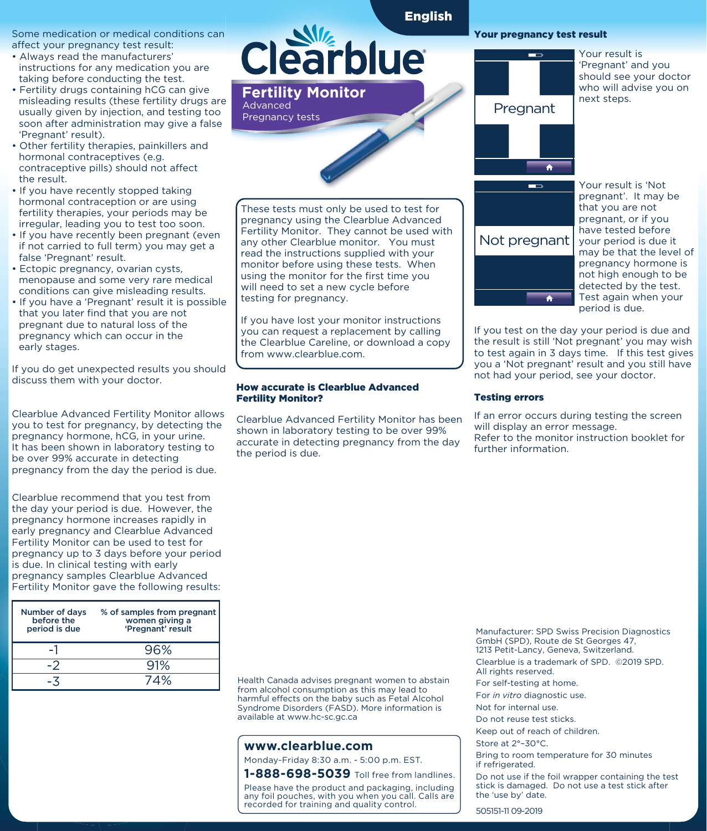Some medication or medical conditions can affect your pregnancy test result:

- Always read the manufacturers' instructions for any medication you are taking before conducting the test.
- Fertility drugs containing hCG can give misleading results (these fertility drugs are usually given by injection, and testing too soon after administration may give a false 'Pregnant' result).
- Other fertility therapies, painkillers and hormonal contraceptives (e.g. contraceptive pills) should not affect the result.
- If you have recently stopped taking hormonal contraception or are using fertility therapies, your periods may be irregular, leading you to test too soon.
- If you have recently been pregnant (even if not carried to full term) you may get a false 'Pregnant' result.
- Ectopic pregnancy, ovarian cysts, menopause and some very rare medical conditions can give misleading results.
- If you have a 'Pregnant' result it is possible that you later find that you are not pregnant due to natural loss of the pregnancy which can occur in the early stages.

If you do get unexpected results you should discuss them with your doctor.

Clearblue Advanced Fertility Monitor allows you to test for pregnancy, by detecting the pregnancy hormone, hCG, in your urine. It has been shown in laboratory testing to be over 99% accurate in detecting pregnancy from the day the period is due.

Clearblue recommend that you test from the day your period is due. However, the pregnancy hormone increases rapidly in early pregnancy and Clearblue Advanced Fertility Monitor can be used to test for pregnancy up to 3 days before your period is due. In clinical testing with early pregnancy samples Clearblue Advanced Fertility Monitor gave the following results:

| Number of days<br>before the<br>period is due | % of samples from pregnant<br>women giving a<br>'Pregnant' result |
|-----------------------------------------------|-------------------------------------------------------------------|
|                                               | 96%                                                               |
|                                               | 91%                                                               |
|                                               | 74%                                                               |

# **Clearblue**

English



These tests must only be used to test for pregnancy using the Clearblue Advanced Fertility Monitor. They cannot be used with any other Clearblue monitor. You must read the instructions supplied with your monitor before using these tests. When using the monitor for the first time you will need to set a new cycle before testing for pregnancy.

If you have lost your monitor instructions you can request a replacement by calling the Clearblue Careline, or download a copy from www.clearblue.com.

#### How accurate is Clearblue Advanced Fertility Monitor?

Clearblue Advanced Fertility Monitor has been shown in laboratory testing to be over 99% accurate in detecting pregnancy from the day the period is due.

## Your pregnancy test result



Your result is 'Pregnant' and you should see your doctor who will advise you on next steps.



Your result is 'Not pregnant'. It may be that you are not pregnant, or if you have tested before your period is due it may be that the level of pregnancy hormone is not high enough to be detected by the test. Test again when your period is due.

If you test on the day your period is due and the result is still 'Not pregnant' you may wish to test again in 3 days time. If this test gives you a 'Not pregnant' result and you still have not had your period, see your doctor.

#### Testing errors

If an error occurs during testing the screen will display an error message. Refer to the monitor instruction booklet for further information.

Health Canada advises pregnant women to abstain from alcohol consumption as this may lead to harmful effects on the baby such as Fetal Alcohol Syndrome Disorders (FASD). More information is available at www.hc-sc.gc.ca

## **www.clearblue.com**

Monday-Friday 8:30 a.m. - 5:00 p.m. EST.

**1-888-698-5039** Toll free from landlines.

Please have the product and packaging, including any foil pouches, with you when you call. Calls are recorded for training and quality control.

Manufacturer: SPD Swiss Precision Diagnostics GmbH (SPD), Route de St Georges 47, 1213 Petit-Lancy, Geneva, Switzerland. Clearblue is a trademark of SPD. ©2019 SPD. All rights reserved.

For self-testing at home.

For *in vitro* diagnostic use.

Not for internal use.

Do not reuse test sticks.

Keep out of reach of children.

Store at 2°–30°C.

Bring to room temperature for 30 minutes if refrigerated.

Do not use if the foil wrapper containing the test stick is damaged. Do not use a test stick after the 'use by' date.